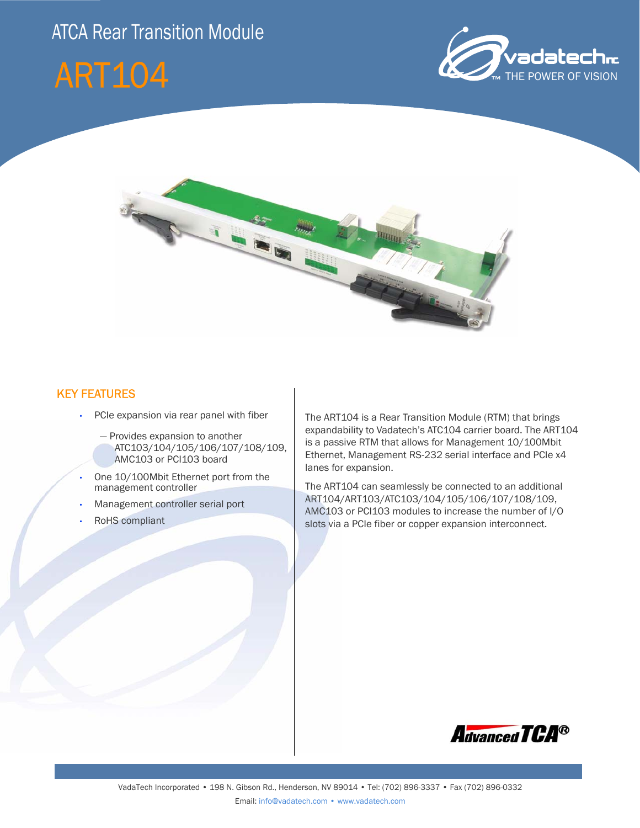# ATCA Rear Transition Module







#### KEY FEATURES

- PCIe expansion via rear panel with fiber
	- Provides expansion to another ATC103/104/105/106/107/108/109, AMC103 or PCI103 board
- One 10/100Mbit Ethernet port from the management controller
- Management controller serial port
- RoHS compliant

The ART104 is a Rear Transition Module (RTM) that brings expandability to Vadatech's ATC104 carrier board. The ART104 is a passive RTM that allows for Management 10/100Mbit Ethernet, Management RS-232 serial interface and PCIe x4 lanes for expansion.

The ART104 can seamlessly be connected to an additional ART104/ART103/ATC103/104/105/106/107/108/109, AMC103 or PCI103 modules to increase the number of I/O slots via a PCIe fiber or copper expansion interconnect.

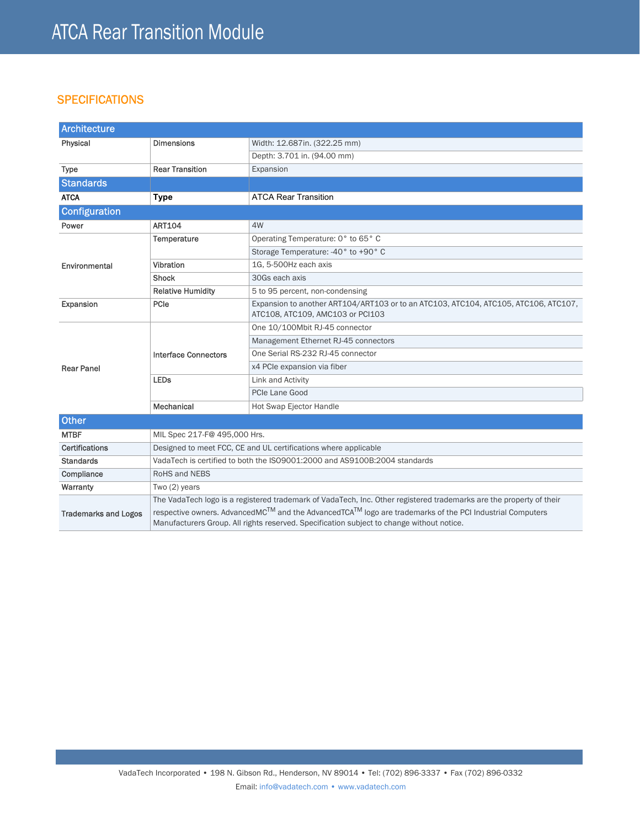### **SPECIFICATIONS**

| <b>Architecture</b>         |                                                                                                                     |                                                                                                                                                                                                                                |
|-----------------------------|---------------------------------------------------------------------------------------------------------------------|--------------------------------------------------------------------------------------------------------------------------------------------------------------------------------------------------------------------------------|
| Physical                    | <b>Dimensions</b>                                                                                                   | Width: 12.687in. (322.25 mm)                                                                                                                                                                                                   |
|                             |                                                                                                                     | Depth: 3.701 in. (94.00 mm)                                                                                                                                                                                                    |
| <b>Type</b>                 | <b>Rear Transition</b>                                                                                              | Expansion                                                                                                                                                                                                                      |
| <b>Standards</b>            |                                                                                                                     |                                                                                                                                                                                                                                |
| <b>ATCA</b>                 | <b>Type</b>                                                                                                         | <b>ATCA Rear Transition</b>                                                                                                                                                                                                    |
| <b>Configuration</b>        |                                                                                                                     |                                                                                                                                                                                                                                |
| Power                       | <b>ART104</b>                                                                                                       | 4W                                                                                                                                                                                                                             |
| Environmental               | Temperature                                                                                                         | Operating Temperature: 0° to 65° C                                                                                                                                                                                             |
|                             |                                                                                                                     | Storage Temperature: -40° to +90° C                                                                                                                                                                                            |
|                             | Vibration                                                                                                           | 1G, 5-500Hz each axis                                                                                                                                                                                                          |
|                             | <b>Shock</b>                                                                                                        | 30Gs each axis                                                                                                                                                                                                                 |
|                             | <b>Relative Humidity</b>                                                                                            | 5 to 95 percent, non-condensing                                                                                                                                                                                                |
| Expansion                   | PCIe                                                                                                                | Expansion to another ART104/ART103 or to an ATC103, ATC104, ATC105, ATC106, ATC107,<br>ATC108, ATC109, AMC103 or PCI103                                                                                                        |
| <b>Rear Panel</b>           | <b>Interface Connectors</b>                                                                                         | One 10/100Mbit RJ-45 connector                                                                                                                                                                                                 |
|                             |                                                                                                                     | Management Ethernet RJ-45 connectors                                                                                                                                                                                           |
|                             |                                                                                                                     | One Serial RS-232 RJ-45 connector                                                                                                                                                                                              |
|                             |                                                                                                                     | x4 PCIe expansion via fiber                                                                                                                                                                                                    |
|                             | <b>LEDs</b>                                                                                                         | Link and Activity                                                                                                                                                                                                              |
|                             |                                                                                                                     | PCIe Lane Good                                                                                                                                                                                                                 |
|                             | Mechanical                                                                                                          | Hot Swap Ejector Handle                                                                                                                                                                                                        |
| <b>Other</b>                |                                                                                                                     |                                                                                                                                                                                                                                |
| <b>MTBF</b>                 | MIL Spec 217-F@ 495,000 Hrs.                                                                                        |                                                                                                                                                                                                                                |
| Certifications              | Designed to meet FCC, CE and UL certifications where applicable                                                     |                                                                                                                                                                                                                                |
| <b>Standards</b>            | VadaTech is certified to both the ISO9001:2000 and AS9100B:2004 standards                                           |                                                                                                                                                                                                                                |
| Compliance                  | RoHS and NEBS                                                                                                       |                                                                                                                                                                                                                                |
| Warranty                    | Two (2) years                                                                                                       |                                                                                                                                                                                                                                |
|                             | The VadaTech logo is a registered trademark of VadaTech, Inc. Other registered trademarks are the property of their |                                                                                                                                                                                                                                |
| <b>Trademarks and Logos</b> |                                                                                                                     | respective owners. AdvancedMC <sup>TM</sup> and the AdvancedTCA <sup>TM</sup> logo are trademarks of the PCI Industrial Computers<br>Manufacturers Group. All rights reserved. Specification subject to change without notice. |